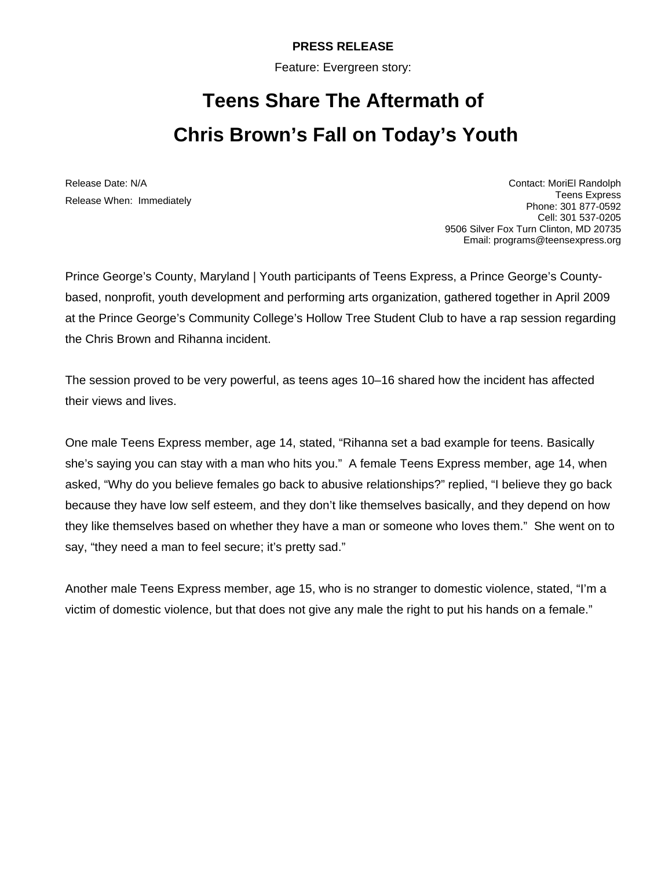## **PRESS RELEASE**

Feature: Evergreen story:

## **Teens Share The Aftermath of Chris Brown's Fall on Today's Youth**

Release Date: N/A Release When: Immediately

Contact: MoriEl Randolph Teens Express Phone: 301 877-0592 Cell: 301 537-0205 9506 Silver Fox Turn Clinton, MD 20735 Email: programs@teensexpress.org

Prince George's County, Maryland | Youth participants of Teens Express, a Prince George's Countybased, nonprofit, youth development and performing arts organization, gathered together in April 2009 at the Prince George's Community College's Hollow Tree Student Club to have a rap session regarding the Chris Brown and Rihanna incident.

The session proved to be very powerful, as teens ages 10–16 shared how the incident has affected their views and lives.

One male Teens Express member, age 14, stated, "Rihanna set a bad example for teens. Basically she's saying you can stay with a man who hits you." A female Teens Express member, age 14, when asked, "Why do you believe females go back to abusive relationships?" replied, "I believe they go back because they have low self esteem, and they don't like themselves basically, and they depend on how they like themselves based on whether they have a man or someone who loves them." She went on to say, "they need a man to feel secure; it's pretty sad."

Another male Teens Express member, age 15, who is no stranger to domestic violence, stated, "I'm a victim of domestic violence, but that does not give any male the right to put his hands on a female."